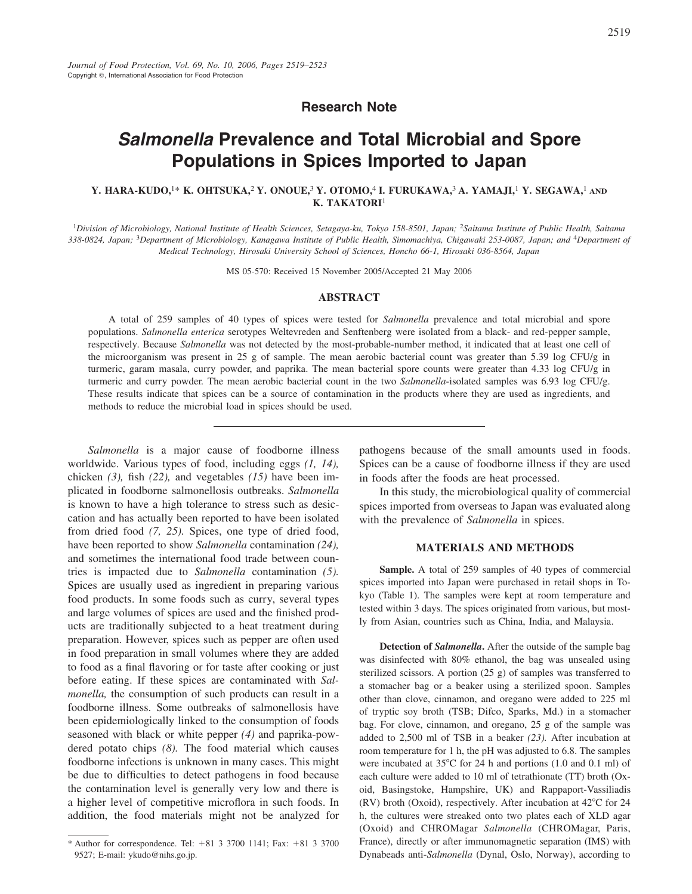# **Salmonella Prevalence and Total Microbial and Spore Populations in Spices Imported to Japan**

# Y. HARA-KUDO,<sup>1\*</sup> K. OHTSUKA,<sup>2</sup> Y. ONOUE,<sup>3</sup> Y. OTOMO,<sup>4</sup> I. FURUKAWA,<sup>3</sup> A. YAMA, II,<sup>1</sup> Y. SEGAWA,<sup>1</sup> AND K. TAKATORI<sup>1</sup>

<sup>1</sup>Division of Microbiology, National Institute of Health Sciences, Setagaya-ku, Tokyo 158-8501, Japan; <sup>2</sup>Saitama Institute of Public Health, Saitama 338-0824, Japan; <sup>3</sup>Department of Microbiology, Kanagawa Institute of Public Health, Simomachiya, Chigawaki 253-0087, Japan; and <sup>4</sup>Department of Medical Technology, Hirosaki University School of Sciences, Honcho 66-1, Hirosaki 036-8564, Japan

MS 05-570: Received 15 November 2005/Accepted 21 May 2006

## **ABSTRACT**

A total of 259 samples of 40 types of spices were tested for Salmonella prevalence and total microbial and spore populations. Salmonella enterica serotypes Weltevreden and Senftenberg were isolated from a black- and red-pepper sample, respectively. Because Salmonella was not detected by the most-probable-number method, it indicated that at least one cell of the microorganism was present in 25 g of sample. The mean aerobic bacterial count was greater than 5.39 log CFU/g in turmeric, garam masala, curry powder, and paprika. The mean bacterial spore counts were greater than 4.33 log CFU/g in turmeric and curry powder. The mean aerobic bacterial count in the two Salmonella-isolated samples was 6.93 log CFU/g. These results indicate that spices can be a source of contamination in the products where they are used as ingredients, and methods to reduce the microbial load in spices should be used.

Salmonella is a major cause of foodborne illness worldwide. Various types of food, including eggs  $(1, 14)$ , chicken  $(3)$ , fish  $(22)$ , and vegetables  $(15)$  have been implicated in foodborne salmonellosis outbreaks. Salmonella is known to have a high tolerance to stress such as desiccation and has actually been reported to have been isolated from dried food  $(7, 25)$ . Spices, one type of dried food, have been reported to show Salmonella contamination (24), and sometimes the international food trade between countries is impacted due to Salmonella contamination (5). Spices are usually used as ingredient in preparing various food products. In some foods such as curry, several types and large volumes of spices are used and the finished products are traditionally subjected to a heat treatment during preparation. However, spices such as pepper are often used in food preparation in small volumes where they are added to food as a final flavoring or for taste after cooking or just before eating. If these spices are contaminated with Salmonella, the consumption of such products can result in a foodborne illness. Some outbreaks of salmonellosis have been epidemiologically linked to the consumption of foods seasoned with black or white pepper  $(4)$  and paprika-powdered potato chips  $(8)$ . The food material which causes foodborne infections is unknown in many cases. This might be due to difficulties to detect pathogens in food because the contamination level is generally very low and there is a higher level of competitive microflora in such foods. In addition, the food materials might not be analyzed for

pathogens because of the small amounts used in foods. Spices can be a cause of foodborne illness if they are used in foods after the foods are heat processed.

In this study, the microbiological quality of commercial spices imported from overseas to Japan was evaluated along with the prevalence of Salmonella in spices.

#### **MATERIALS AND METHODS**

Sample. A total of 259 samples of 40 types of commercial spices imported into Japan were purchased in retail shops in Tokyo (Table 1). The samples were kept at room temperature and tested within 3 days. The spices originated from various, but mostly from Asian, countries such as China, India, and Malaysia.

Detection of Salmonella. After the outside of the sample bag was disinfected with 80% ethanol, the bag was unsealed using sterilized scissors. A portion  $(25 \text{ g})$  of samples was transferred to a stomacher bag or a beaker using a sterilized spoon. Samples other than clove, cinnamon, and oregano were added to 225 ml of tryptic soy broth (TSB; Difco, Sparks, Md.) in a stomacher bag. For clove, cinnamon, and oregano, 25 g of the sample was added to  $2,500$  ml of TSB in a beaker  $(23)$ . After incubation at room temperature for 1 h, the pH was adjusted to 6.8. The samples were incubated at 35°C for 24 h and portions (1.0 and 0.1 ml) of each culture were added to 10 ml of tetrathionate (TT) broth (Oxoid, Basingstoke, Hampshire, UK) and Rappaport-Vassiliadis (RV) broth (Oxoid), respectively. After incubation at 42°C for 24 h, the cultures were streaked onto two plates each of XLD agar (Oxoid) and CHROMagar Salmonella (CHROMagar, Paris, France), directly or after immunomagnetic separation (IMS) with Dynabeads anti-Salmonella (Dynal, Oslo, Norway), according to

<sup>\*</sup> Author for correspondence. Tel:  $+81$  3 3700 1141; Fax:  $+81$  3 3700 9527; E-mail: ykudo@nihs.go.jp.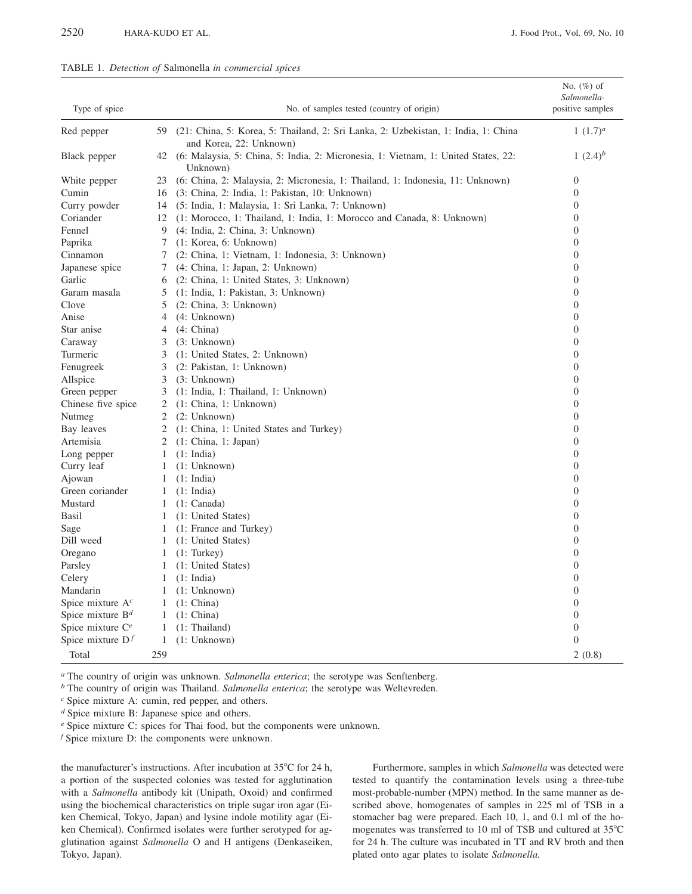|  |  |  |  |  |  | TABLE 1. Detection of Salmonella in commercial spices |  |
|--|--|--|--|--|--|-------------------------------------------------------|--|
|--|--|--|--|--|--|-------------------------------------------------------|--|

| Type of spice       |              | No. of samples tested (country of origin)                                                                     | No. (%) of<br>Salmonella-<br>positive samples |
|---------------------|--------------|---------------------------------------------------------------------------------------------------------------|-----------------------------------------------|
| Red pepper          | 59           | (21: China, 5: Korea, 5: Thailand, 2: Sri Lanka, 2: Uzbekistan, 1: India, 1: China<br>and Korea, 22: Unknown) | 1 $(1.7)^a$                                   |
| Black pepper        | 42           | (6: Malaysia, 5: China, 5: India, 2: Micronesia, 1: Vietnam, 1: United States, 22:<br>Unknown)                | 1 $(2.4)^b$                                   |
| White pepper        | 23           | (6: China, 2: Malaysia, 2: Micronesia, 1: Thailand, 1: Indonesia, 11: Unknown)                                | $\overline{0}$                                |
| Cumin               | 16           | (3: China, 2: India, 1: Pakistan, 10: Unknown)                                                                | $\overline{0}$                                |
| Curry powder        | 14           | (5: India, 1: Malaysia, 1: Sri Lanka, 7: Unknown)                                                             | $\overline{0}$                                |
| Coriander           | 12           | (1: Morocco, 1: Thailand, 1: India, 1: Morocco and Canada, 8: Unknown)                                        | $\overline{0}$                                |
| Fennel              | 9            | (4: India, 2: China, 3: Unknown)                                                                              | $\overline{0}$                                |
| Paprika             | 7            | (1: Korea, 6: Unknown)                                                                                        | $\overline{0}$                                |
| Cinnamon            | 7            | (2: China, 1: Vietnam, 1: Indonesia, 3: Unknown)                                                              | $\overline{0}$                                |
| Japanese spice      | 7            | (4: China, 1: Japan, 2: Unknown)                                                                              | $\overline{0}$                                |
| Garlic              | 6            | (2: China, 1: United States, 3: Unknown)                                                                      | $\overline{0}$                                |
| Garam masala        | 5            | (1: India, 1: Pakistan, 3: Unknown)                                                                           | $\overline{0}$                                |
| Clove               | 5            | (2: China, 3: Unknown)                                                                                        | $\overline{0}$                                |
| Anise               | 4            | (4:Unknown)                                                                                                   | $\overline{0}$                                |
| Star anise          | 4            | (4: China)                                                                                                    | $\mathbf{0}$                                  |
| Caraway             | 3            | (3:Unknown)                                                                                                   | $\overline{0}$                                |
| Turmeric            | 3            | (1: United States, 2: Unknown)                                                                                | $\mathbf{0}$                                  |
| Fenugreek           | 3            | (2: Pakistan, 1: Unknown)                                                                                     | $\boldsymbol{0}$                              |
| Allspice            | 3            | (3:Unknown)                                                                                                   | $\theta$                                      |
| Green pepper        | 3            | (1: India, 1: Thailand, 1: Unknown)                                                                           | $\overline{0}$                                |
| Chinese five spice  | 2            | (1: China, 1: Unknown)                                                                                        | $\boldsymbol{0}$                              |
| Nutmeg              | 2            | (2: Unknown)                                                                                                  | $\overline{0}$                                |
| Bay leaves          | 2            | (1: China, 1: United States and Turkey)                                                                       | $\overline{0}$                                |
| Artemisia           | 2            | (1: China, 1: Japan)                                                                                          | $\overline{0}$                                |
| Long pepper         | 1            | $(1: \text{India})$                                                                                           | $\overline{0}$                                |
| Curry leaf          | 1            | (1:Unknown)                                                                                                   | $\overline{0}$                                |
| Ajowan              | 1            | (1: India)                                                                                                    | $\overline{0}$                                |
| Green coriander     | 1            | (1: India)                                                                                                    | $\overline{0}$                                |
| Mustard             | 1            | (1: Canada)                                                                                                   | $\overline{0}$                                |
| Basil               | 1            | (1: United States)                                                                                            | $\overline{0}$                                |
| Sage                | 1            | (1: France and Turkey)                                                                                        | $\overline{0}$                                |
| Dill weed           | 1            | (1: United States)                                                                                            | $\boldsymbol{0}$                              |
| Oregano             | 1            | (1: Turkey)                                                                                                   | $\overline{0}$                                |
| Parsley             | 1            | (1: United States)                                                                                            | $\overline{0}$                                |
| Celery              | 1            | (1: India)                                                                                                    | $\mathbf{0}$                                  |
| Mandarin            | 1            | (1:Unknown)                                                                                                   | $\overline{0}$                                |
| Spice mixture $Ac$  | 1            | (1: China)                                                                                                    | $\overline{0}$                                |
| Spice mixture $B^d$ | $\mathbf{1}$ | (1: China)                                                                                                    | $\boldsymbol{0}$                              |
| Spice mixture $C^e$ | 1            | (1: Thailand)                                                                                                 | $\mathbf{0}$                                  |
| Spice mixture $Df$  | 1            | (1:Unknown)                                                                                                   | $\boldsymbol{0}$                              |
| Total               | 259          |                                                                                                               | 2(0.8)                                        |

<sup>a</sup> The country of origin was unknown. Salmonella enterica; the serotype was Senftenberg.

 $<sup>b</sup>$  The country of origin was Thailand. Salmonella enterica; the serotype was Weltevreden.</sup>

 $d$  Spice mixture B: Japanese spice and others.

e Spice mixture C: spices for Thai food, but the components were unknown.

 $f$  Spice mixture D: the components were unknown.

the manufacturer's instructions. After incubation at 35°C for 24 h, a portion of the suspected colonies was tested for agglutination with a Salmonella antibody kit (Unipath, Oxoid) and confirmed using the biochemical characteristics on triple sugar iron agar (Eiken Chemical, Tokyo, Japan) and lysine indole motility agar (Eiken Chemical). Confirmed isolates were further serotyped for agglutination against Salmonella O and H antigens (Denkaseiken, Tokyo, Japan).

Furthermore, samples in which Salmonella was detected were tested to quantify the contamination levels using a three-tube most-probable-number (MPN) method. In the same manner as described above, homogenates of samples in 225 ml of TSB in a stomacher bag were prepared. Each 10, 1, and 0.1 ml of the homogenates was transferred to 10 ml of TSB and cultured at 35°C for 24 h. The culture was incubated in TT and RV broth and then plated onto agar plates to isolate Salmonella.

 $c$  Spice mixture A: cumin, red pepper, and others.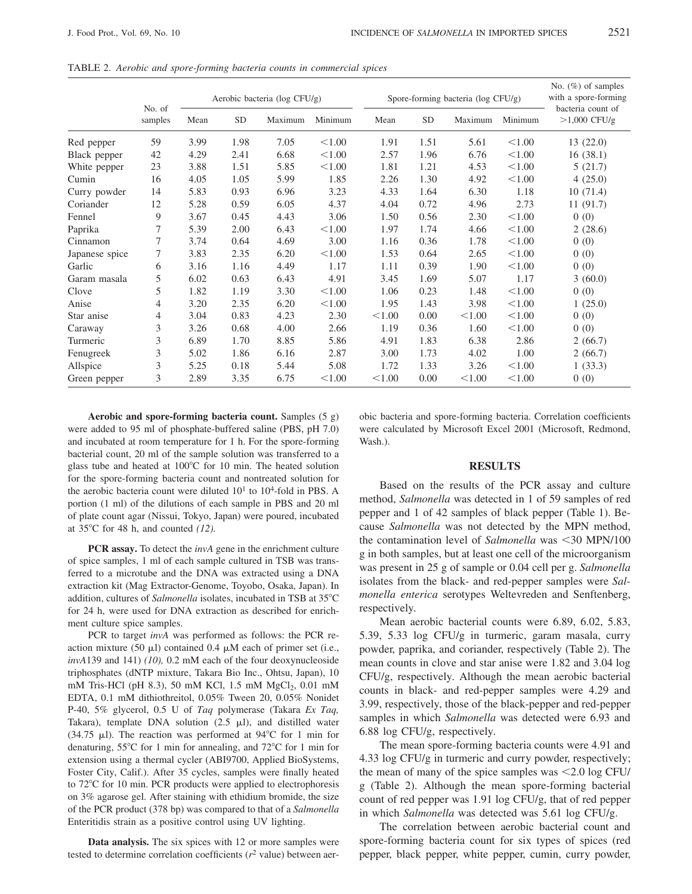|                | No. of<br>samples | Aerobic bacteria (log CFU/g) |           |         | Spore-forming bacteria (log CFU/g) |        |           |         | No. $(\%)$ of samples<br>with a spore-forming |                                     |
|----------------|-------------------|------------------------------|-----------|---------|------------------------------------|--------|-----------|---------|-----------------------------------------------|-------------------------------------|
|                |                   | Mean                         | <b>SD</b> | Maximum | Minimum                            | Mean   | <b>SD</b> | Maximum | Minimum                                       | bacteria count of<br>$>1,000$ CFU/g |
| Red pepper     | 59                | 3.99                         | 1.98      | 7.05    | < 1.00                             | 1.91   | 1.51      | 5.61    | < 1.00                                        | 13(22.0)                            |
| Black pepper   | 42                | 4.29                         | 2.41      | 6.68    | < 1.00                             | 2.57   | 1.96      | 6.76    | < 1.00                                        | 16(38.1)                            |
| White pepper   | 23                | 3.88                         | 1.51      | 5.85    | < 1.00                             | 1.81   | 1.21      | 4.53    | < 1.00                                        | 5(21.7)                             |
| Cumin          | 16                | 4.05                         | 1.05      | 5.99    | 1.85                               | 2.26   | 1.30      | 4.92    | < 1.00                                        | 4(25.0)                             |
| Curry powder   | 14                | 5.83                         | 0.93      | 6.96    | 3.23                               | 4.33   | 1.64      | 6.30    | 1.18                                          | 10(71.4)                            |
| Coriander      | 12                | 5.28                         | 0.59      | 6.05    | 4.37                               | 4.04   | 0.72      | 4.96    | 2.73                                          | 11(91.7)                            |
| Fennel         | 9                 | 3.67                         | 0.45      | 4.43    | 3.06                               | 1.50   | 0.56      | 2.30    | < 1.00                                        | 0(0)                                |
| Paprika        | 7                 | 5.39                         | 2.00      | 6.43    | < 1.00                             | 1.97   | 1.74      | 4.66    | < 1.00                                        | 2(28.6)                             |
| Cinnamon       | 7                 | 3.74                         | 0.64      | 4.69    | 3.00                               | 1.16   | 0.36      | 1.78    | < 1.00                                        | 0(0)                                |
| Japanese spice | 7                 | 3.83                         | 2.35      | 6.20    | < 1.00                             | 1.53   | 0.64      | 2.65    | < 1.00                                        | 0(0)                                |
| Garlic         | 6                 | 3.16                         | 1.16      | 4.49    | 1.17                               | 1.11   | 0.39      | 1.90    | < 1.00                                        | 0(0)                                |
| Garam masala   | 5                 | 6.02                         | 0.63      | 6.43    | 4.91                               | 3.45   | 1.69      | 5.07    | 1.17                                          | 3(60.0)                             |
| Clove          | 5                 | 1.82                         | 1.19      | 3.30    | < 1.00                             | 1.06   | 0.23      | 1.48    | < 1.00                                        | 0(0)                                |
| Anise          | 4                 | 3.20                         | 2.35      | 6.20    | < 1.00                             | 1.95   | 1.43      | 3.98    | < 1.00                                        | 1(25.0)                             |
| Star anise     | 4                 | 3.04                         | 0.83      | 4.23    | 2.30                               | < 1.00 | 0.00      | < 1.00  | < 1.00                                        | 0(0)                                |
| Caraway        | 3                 | 3.26                         | 0.68      | 4.00    | 2.66                               | 1.19   | 0.36      | 1.60    | < 1.00                                        | 0(0)                                |
| Turmeric       | 3                 | 6.89                         | 1.70      | 8.85    | 5.86                               | 4.91   | 1.83      | 6.38    | 2.86                                          | 2(66.7)                             |
| Fenugreek      | 3                 | 5.02                         | 1.86      | 6.16    | 2.87                               | 3.00   | 1.73      | 4.02    | 1.00                                          | 2(66.7)                             |
| Allspice       | 3                 | 5.25                         | 0.18      | 5.44    | 5.08                               | 1.72   | 1.33      | 3.26    | < 1.00                                        | 1(33.3)                             |
| Green pepper   | 3                 | 2.89                         | 3.35      | 6.75    | < 1.00                             | < 1.00 | 0.00      | < 1.00  | < 1.00                                        | 0(0)                                |

TABLE 2. Aerobic and spore-forming bacteria counts in commercial spices

Aerobic and spore-forming bacteria count. Samples (5 g) were added to 95 ml of phosphate-buffered saline (PBS, pH 7.0) and incubated at room temperature for 1 h. For the spore-forming bacterial count, 20 ml of the sample solution was transferred to a glass tube and heated at 100°C for 10 min. The heated solution for the spore-forming bacteria count and nontreated solution for the aerobic bacteria count were diluted  $10<sup>1</sup>$  to  $10<sup>4</sup>$ -fold in PBS. A portion (1 ml) of the dilutions of each sample in PBS and 20 ml of plate count agar (Nissui, Tokyo, Japan) were poured, incubated at  $35^{\circ}$ C for 48 h, and counted (12).

PCR assay. To detect the *invA* gene in the enrichment culture of spice samples, 1 ml of each sample cultured in TSB was transferred to a microtube and the DNA was extracted using a DNA extraction kit (Mag Extractor-Genome, Toyobo, Osaka, Japan). In addition, cultures of Salmonella isolates, incubated in TSB at 35°C for 24 h, were used for DNA extraction as described for enrichment culture spice samples.

PCR to target invA was performed as follows: the PCR reaction mixture (50  $\mu$ l) contained 0.4  $\mu$ M each of primer set (i.e.,  $invA139$  and 141) (10), 0.2 mM each of the four deoxynucleoside triphosphates (dNTP mixture, Takara Bio Inc., Ohtsu, Japan), 10 mM Tris-HCl (pH 8.3), 50 mM KCl, 1.5 mM MgCl<sub>2</sub>, 0.01 mM EDTA, 0.1 mM dithiothreitol, 0.05% Tween 20, 0.05% Nonidet P-40, 5% glycerol, 0.5 U of Taq polymerase (Takara Ex Taq, Takara), template DNA solution  $(2.5 \mu l)$ , and distilled water  $(34.75 \mu l)$ . The reaction was performed at 94°C for 1 min for denaturing,  $55^{\circ}$ C for 1 min for annealing, and  $72^{\circ}$ C for 1 min for extension using a thermal cycler (ABI9700, Applied BioSystems, Foster City, Calif.). After 35 cycles, samples were finally heated to 72°C for 10 min. PCR products were applied to electrophoresis on 3% agarose gel. After staining with ethidium bromide, the size of the PCR product (378 bp) was compared to that of a Salmonella Enteritidis strain as a positive control using UV lighting.

Data analysis. The six spices with 12 or more samples were tested to determine correlation coefficients ( $r^2$  value) between aerobic bacteria and spore-forming bacteria. Correlation coefficients were calculated by Microsoft Excel 2001 (Microsoft, Redmond, Wash.).

## **RESULTS**

Based on the results of the PCR assay and culture method, Salmonella was detected in 1 of 59 samples of red pepper and 1 of 42 samples of black pepper (Table 1). Because Salmonella was not detected by the MPN method, the contamination level of Salmonella was <30 MPN/100 g in both samples, but at least one cell of the microorganism was present in 25 g of sample or 0.04 cell per g. Salmonella isolates from the black- and red-pepper samples were Salmonella enterica serotypes Weltevreden and Senftenberg, respectively.

Mean aerobic bacterial counts were 6.89, 6.02, 5.83, 5.39, 5.33 log CFU/g in turmeric, garam masala, curry powder, paprika, and coriander, respectively (Table 2). The mean counts in clove and star anise were 1.82 and 3.04 log CFU/g, respectively. Although the mean aerobic bacterial counts in black- and red-pepper samples were 4.29 and 3.99, respectively, those of the black-pepper and red-pepper samples in which Salmonella was detected were 6.93 and 6.88 log CFU/g, respectively.

The mean spore-forming bacteria counts were 4.91 and 4.33 log CFU/g in turmeric and curry powder, respectively; the mean of many of the spice samples was  $\leq$  2.0 log CFU/ g (Table 2). Although the mean spore-forming bacterial count of red pepper was 1.91 log CFU/g, that of red pepper in which Salmonella was detected was 5.61 log CFU/g.

The correlation between aerobic bacterial count and spore-forming bacteria count for six types of spices (red pepper, black pepper, white pepper, cumin, curry powder,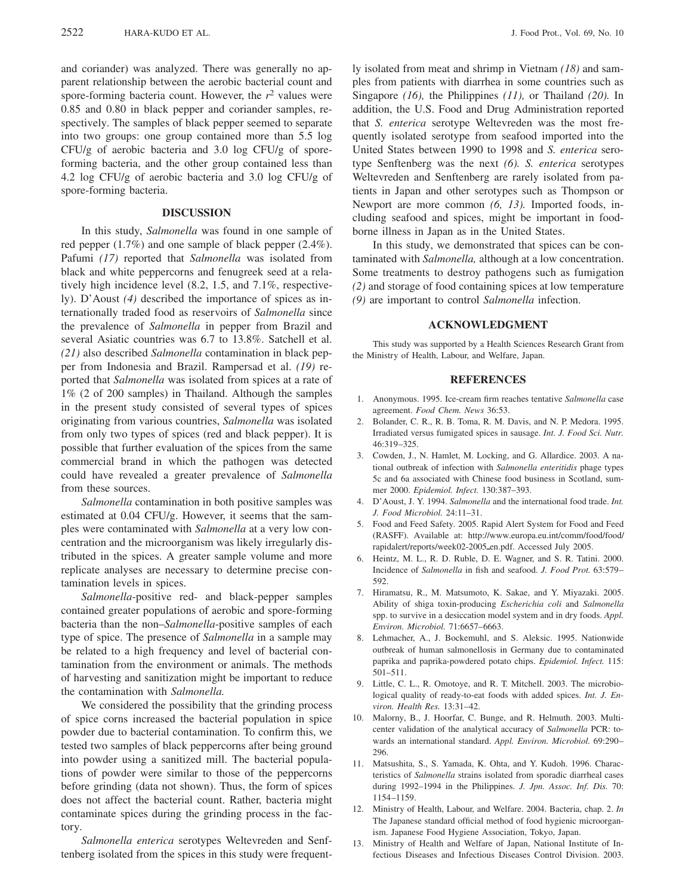and coriander) was analyzed. There was generally no apparent relationship between the aerobic bacterial count and spore-forming bacteria count. However, the  $r^2$  values were 0.85 and 0.80 in black pepper and coriander samples, respectively. The samples of black pepper seemed to separate into two groups: one group contained more than 5.5 log CFU/g of aerobic bacteria and 3.0 log CFU/g of sporeforming bacteria, and the other group contained less than 4.2 log CFU/g of aerobic bacteria and 3.0 log CFU/g of spore-forming bacteria.

## **DISCUSSION**

In this study, Salmonella was found in one sample of red pepper  $(1.7\%)$  and one sample of black pepper  $(2.4\%)$ . Pafumi (17) reported that Salmonella was isolated from black and white peppercorns and fenugreek seed at a relatively high incidence level (8.2, 1.5, and 7.1%, respectively). D'Aoust (4) described the importance of spices as internationally traded food as reservoirs of Salmonella since the prevalence of Salmonella in pepper from Brazil and several Asiatic countries was 6.7 to 13.8%. Satchell et al. (21) also described Salmonella contamination in black pepper from Indonesia and Brazil. Rampersad et al. (19) reported that Salmonella was isolated from spices at a rate of 1% (2 of 200 samples) in Thailand. Although the samples in the present study consisted of several types of spices originating from various countries, Salmonella was isolated from only two types of spices (red and black pepper). It is possible that further evaluation of the spices from the same commercial brand in which the pathogen was detected could have revealed a greater prevalence of Salmonella from these sources.

Salmonella contamination in both positive samples was estimated at 0.04 CFU/g. However, it seems that the samples were contaminated with Salmonella at a very low concentration and the microorganism was likely irregularly distributed in the spices. A greater sample volume and more replicate analyses are necessary to determine precise contamination levels in spices.

Salmonella-positive red- and black-pepper samples contained greater populations of aerobic and spore-forming bacteria than the non-Salmonella-positive samples of each type of spice. The presence of *Salmonella* in a sample may be related to a high frequency and level of bacterial contamination from the environment or animals. The methods of harvesting and sanitization might be important to reduce the contamination with Salmonella.

We considered the possibility that the grinding process of spice corns increased the bacterial population in spice powder due to bacterial contamination. To confirm this, we tested two samples of black peppercorns after being ground into powder using a sanitized mill. The bacterial populations of powder were similar to those of the peppercorns before grinding (data not shown). Thus, the form of spices does not affect the bacterial count. Rather, bacteria might contaminate spices during the grinding process in the factory.

Salmonella enterica serotypes Weltevreden and Senftenberg isolated from the spices in this study were frequently isolated from meat and shrimp in Vietnam  $(18)$  and samples from patients with diarrhea in some countries such as Singapore (16), the Philippines (11), or Thailand (20). In addition, the U.S. Food and Drug Administration reported that S. enterica serotype Weltevreden was the most frequently isolated serotype from seafood imported into the United States between 1990 to 1998 and S. enterica serotype Senftenberg was the next  $(6)$ . S. *enterica* serotypes Weltevreden and Senftenberg are rarely isolated from patients in Japan and other serotypes such as Thompson or Newport are more common  $(6, 13)$ . Imported foods, including seafood and spices, might be important in foodborne illness in Japan as in the United States.

In this study, we demonstrated that spices can be contaminated with Salmonella, although at a low concentration. Some treatments to destroy pathogens such as fumigation (2) and storage of food containing spices at low temperature (9) are important to control Salmonella infection.

## **ACKNOWLEDGMENT**

This study was supported by a Health Sciences Research Grant from the Ministry of Health, Labour, and Welfare, Japan.

#### **REFERENCES**

- 1. Anonymous. 1995. Ice-cream firm reaches tentative Salmonella case agreement. Food Chem. News 36:53.
- 2. Bolander, C. R., R. B. Toma, R. M. Davis, and N. P. Medora. 1995. Irradiated versus fumigated spices in sausage. Int. J. Food Sci. Nutr.  $46:319 - 325$
- 3. Cowden, J., N. Hamlet, M. Locking, and G. Allardice. 2003. A national outbreak of infection with Salmonella enteritidis phage types 5c and 6a associated with Chinese food business in Scotland, summer 2000. Epidemiol. Infect. 130:387-393.
- D'Aoust, J. Y. 1994. Salmonella and the international food trade. Int.  $\overline{4}$ J. Food Microbiol. 24:11-31.
- Food and Feed Safety. 2005. Rapid Alert System for Food and Feed 5. (RASFF). Available at: http://www.europa.eu.int/comm/food/food/ rapidalert/reports/week02-2005\_en.pdf. Accessed July 2005.
- Heintz, M. L., R. D. Ruble, D. E. Wagner, and S. R. Tatini. 2000. 6. Incidence of Salmonella in fish and seafood. J. Food Prot. 63:579-592
- 7. Hiramatsu, R., M. Matsumoto, K. Sakae, and Y. Miyazaki. 2005. Ability of shiga toxin-producing Escherichia coli and Salmonella spp. to survive in a desiccation model system and in dry foods. Appl. Environ. Microbiol. 71:6657-6663.
- Lehmacher, A., J. Bockemuhl, and S. Aleksic. 1995. Nationwide outbreak of human salmonellosis in Germany due to contaminated paprika and paprika-powdered potato chips. Epidemiol. Infect. 115:  $501 - 511.$
- 9. Little, C. L., R. Omotoye, and R. T. Mitchell. 2003. The microbiological quality of ready-to-eat foods with added spices. Int. J. Environ. Health Res. 13:31-42.
- 10. Malorny, B., J. Hoorfar, C. Bunge, and R. Helmuth. 2003. Multicenter validation of the analytical accuracy of Salmonella PCR: towards an international standard. Appl. Environ. Microbiol. 69:290-296.
- 11. Matsushita, S., S. Yamada, K. Ohta, and Y. Kudoh. 1996. Characteristics of Salmonella strains isolated from sporadic diarrheal cases during 1992-1994 in the Philippines. J. Jpn. Assoc. Inf. Dis. 70: 1154-1159.
- 12. Ministry of Health, Labour, and Welfare. 2004. Bacteria, chap. 2. In The Japanese standard official method of food hygienic microorganism. Japanese Food Hygiene Association, Tokyo, Japan.
- $13<sup>1</sup>$ Ministry of Health and Welfare of Japan, National Institute of Infectious Diseases and Infectious Diseases Control Division. 2003.